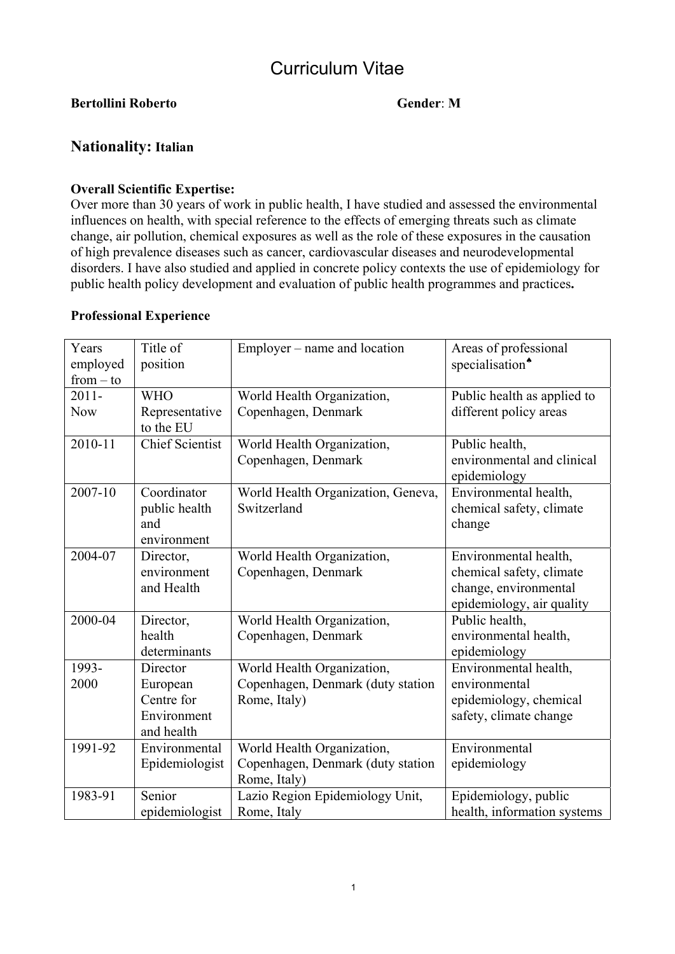# Curriculum Vitae

## **Bertollini Roberto Gender**: **M**

# **Nationality: Italian**

#### **Overall Scientific Expertise:**

Over more than 30 years of work in public health, I have studied and assessed the environmental influences on health, with special reference to the effects of emerging threats such as climate change, air pollution, chemical exposures as well as the role of these exposures in the causation of high prevalence diseases such as cancer, cardiovascular diseases and neurodevelopmental disorders. I have also studied and applied in concrete policy contexts the use of epidemiology for public health policy development and evaluation of public health programmes and practices**.** 

#### **Professional Experience**

| Years<br>employed<br>$from - to$ | Title of<br>position                               | Employer – name and location                                    | Areas of professional<br>specialisation <sup>*</sup>                                                    |
|----------------------------------|----------------------------------------------------|-----------------------------------------------------------------|---------------------------------------------------------------------------------------------------------|
| $2011 -$                         | <b>WHO</b>                                         | World Health Organization,                                      | Public health as applied to                                                                             |
| <b>Now</b>                       | Representative<br>to the EU                        | Copenhagen, Denmark                                             | different policy areas                                                                                  |
| 2010-11                          | <b>Chief Scientist</b>                             | World Health Organization,                                      | Public health,                                                                                          |
|                                  |                                                    | Copenhagen, Denmark                                             | environmental and clinical<br>epidemiology                                                              |
| 2007-10                          | Coordinator<br>public health<br>and<br>environment | World Health Organization, Geneva,<br>Switzerland               | Environmental health,<br>chemical safety, climate<br>change                                             |
| 2004-07                          | Director,<br>environment<br>and Health             | World Health Organization,<br>Copenhagen, Denmark               | Environmental health,<br>chemical safety, climate<br>change, environmental<br>epidemiology, air quality |
| 2000-04                          | Director,<br>health<br>determinants                | World Health Organization,<br>Copenhagen, Denmark               | Public health,<br>environmental health,<br>epidemiology                                                 |
| 1993-                            | Director                                           | World Health Organization,                                      | Environmental health,                                                                                   |
| 2000                             | European                                           | Copenhagen, Denmark (duty station                               | environmental                                                                                           |
|                                  | Centre for                                         | Rome, Italy)                                                    | epidemiology, chemical                                                                                  |
|                                  | Environment                                        |                                                                 | safety, climate change                                                                                  |
| 1991-92                          | and health<br>Environmental                        |                                                                 | Environmental                                                                                           |
|                                  | Epidemiologist                                     | World Health Organization,<br>Copenhagen, Denmark (duty station | epidemiology                                                                                            |
|                                  |                                                    | Rome, Italy)                                                    |                                                                                                         |
| 1983-91                          | Senior                                             | Lazio Region Epidemiology Unit,                                 | Epidemiology, public                                                                                    |
|                                  | epidemiologist                                     | Rome, Italy                                                     | health, information systems                                                                             |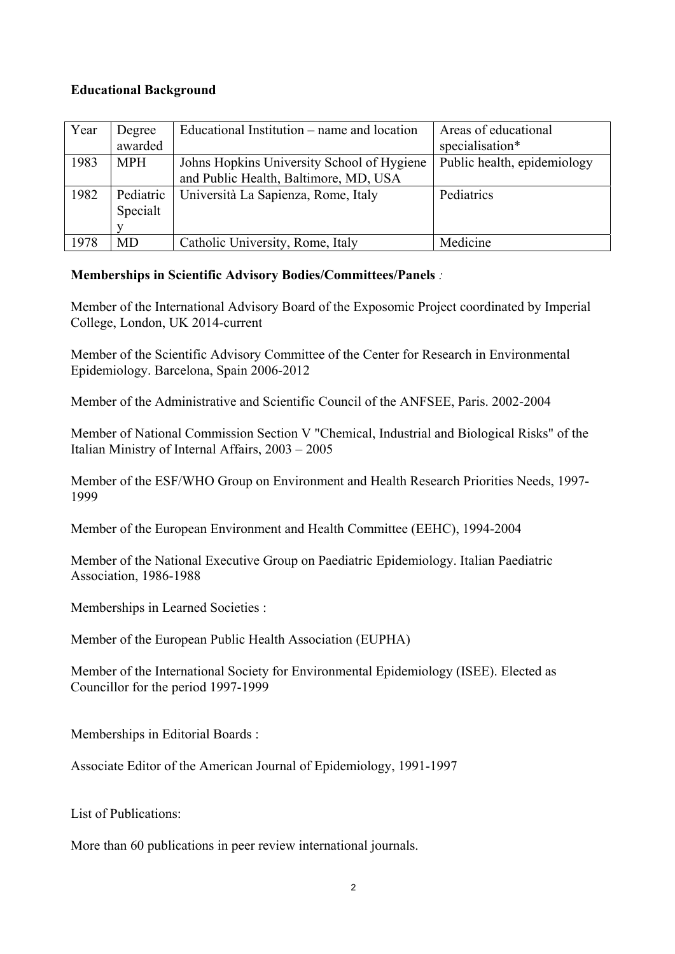### **Educational Background**

| Year | Degree     | Educational Institution – name and location | Areas of educational        |
|------|------------|---------------------------------------------|-----------------------------|
|      | awarded    |                                             | specialisation*             |
| 1983 | <b>MPH</b> | Johns Hopkins University School of Hygiene  | Public health, epidemiology |
|      |            | and Public Health, Baltimore, MD, USA       |                             |
| 1982 | Pediatric  | Università La Sapienza, Rome, Italy         | Pediatrics                  |
|      | Specialt   |                                             |                             |
|      |            |                                             |                             |
| 1978 | MD         | Catholic University, Rome, Italy            | Medicine                    |

# **Memberships in Scientific Advisory Bodies/Committees/Panels** *:*

Member of the International Advisory Board of the Exposomic Project coordinated by Imperial College, London, UK 2014-current

Member of the Scientific Advisory Committee of the Center for Research in Environmental Epidemiology. Barcelona, Spain 2006-2012

Member of the Administrative and Scientific Council of the ANFSEE, Paris. 2002-2004

Member of National Commission Section V "Chemical, Industrial and Biological Risks" of the Italian Ministry of Internal Affairs, 2003 – 2005

Member of the ESF/WHO Group on Environment and Health Research Priorities Needs, 1997- 1999

Member of the European Environment and Health Committee (EEHC), 1994-2004

Member of the National Executive Group on Paediatric Epidemiology. Italian Paediatric Association, 1986-1988

Memberships in Learned Societies :

Member of the European Public Health Association (EUPHA)

Member of the International Society for Environmental Epidemiology (ISEE). Elected as Councillor for the period 1997-1999

Memberships in Editorial Boards :

Associate Editor of the American Journal of Epidemiology, 1991-1997

List of Publications:

More than 60 publications in peer review international journals.